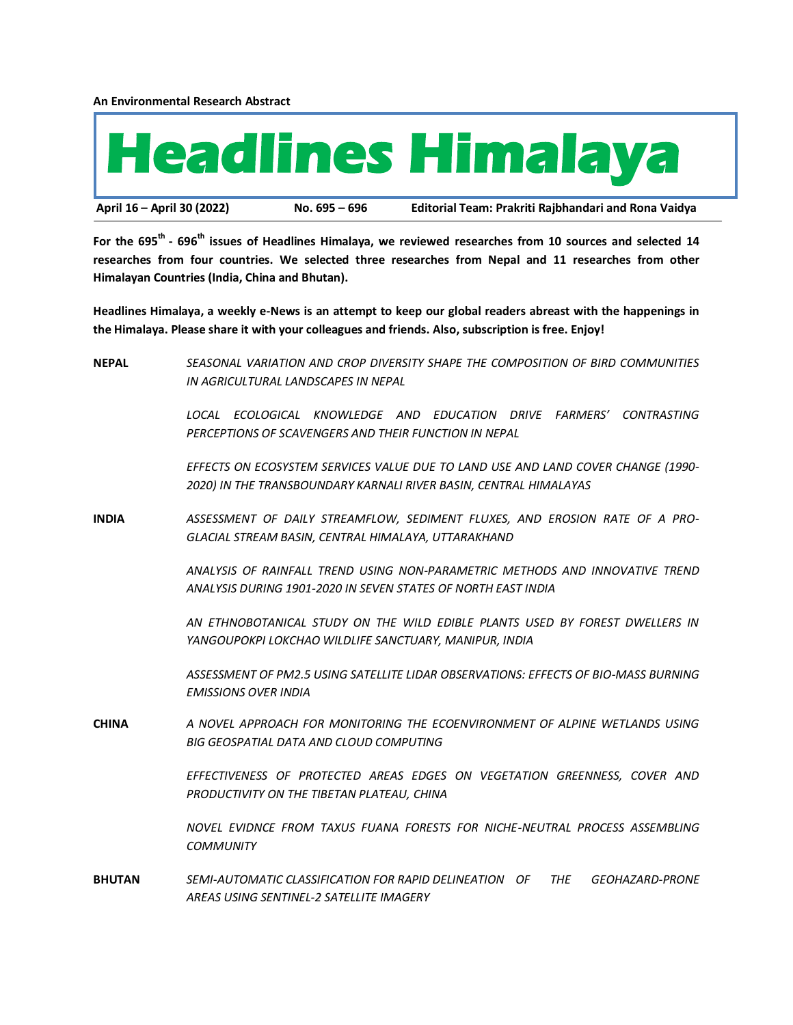**An Environmental Research Abstract**



**For the 695 th - 696 th issues of Headlines Himalaya, we reviewed researches from 10 sources and selected 14 researches from four countries. We selected three researches from Nepal and 11 researches from other Himalayan Countries (India, China and Bhutan).**

**Headlines Himalaya, a weekly e-News is an attempt to keep our global readers abreast with the happenings in the Himalaya. Please share it with your colleagues and friends. Also, subscription is free. Enjoy!**

| <b>NEPAL</b>  | SEASONAL VARIATION AND CROP DIVERSITY SHAPE THE COMPOSITION OF BIRD COMMUNITIES<br>IN AGRICULTURAL LANDSCAPES IN NEPAL                                |
|---------------|-------------------------------------------------------------------------------------------------------------------------------------------------------|
|               | LOCAL ECOLOGICAL KNOWLEDGE AND EDUCATION DRIVE FARMERS' CONTRASTING<br>PERCEPTIONS OF SCAVENGERS AND THEIR FUNCTION IN NEPAL                          |
|               | EFFECTS ON ECOSYSTEM SERVICES VALUE DUE TO LAND USE AND LAND COVER CHANGE (1990-<br>2020) IN THE TRANSBOUNDARY KARNALI RIVER BASIN, CENTRAL HIMALAYAS |
| <b>INDIA</b>  | ASSESSMENT OF DAILY STREAMFLOW, SEDIMENT FLUXES, AND EROSION RATE OF A PRO-<br>GLACIAL STREAM BASIN, CENTRAL HIMALAYA, UTTARAKHAND                    |
|               | ANALYSIS OF RAINFALL TREND USING NON-PARAMETRIC METHODS AND INNOVATIVE TREND<br>ANALYSIS DURING 1901-2020 IN SEVEN STATES OF NORTH EAST INDIA         |
|               | AN ETHNOBOTANICAL STUDY ON THE WILD EDIBLE PLANTS USED BY FOREST DWELLERS IN<br>YANGOUPOKPI LOKCHAO WILDLIFE SANCTUARY, MANIPUR, INDIA                |
|               | ASSESSMENT OF PM2.5 USING SATELLITE LIDAR OBSERVATIONS: EFFECTS OF BIO-MASS BURNING<br><b>EMISSIONS OVER INDIA</b>                                    |
| <b>CHINA</b>  | A NOVEL APPROACH FOR MONITORING THE ECOENVIRONMENT OF ALPINE WETLANDS USING<br><b>BIG GEOSPATIAL DATA AND CLOUD COMPUTING</b>                         |
|               | EFFECTIVENESS OF PROTECTED AREAS EDGES ON VEGETATION GREENNESS, COVER AND<br>PRODUCTIVITY ON THE TIBETAN PLATEAU, CHINA                               |
|               | NOVEL EVIDNCE FROM TAXUS FUANA FORESTS FOR NICHE-NEUTRAL PROCESS ASSEMBLING<br><b>COMMUNITY</b>                                                       |
| <b>BHUTAN</b> | SEMI-AUTOMATIC CLASSIFICATION FOR RAPID DELINEATION OF<br><b>THE</b><br><b>GEOHAZARD-PRONE</b>                                                        |

*AREAS USING SENTINEL-2 SATELLITE IMAGERY*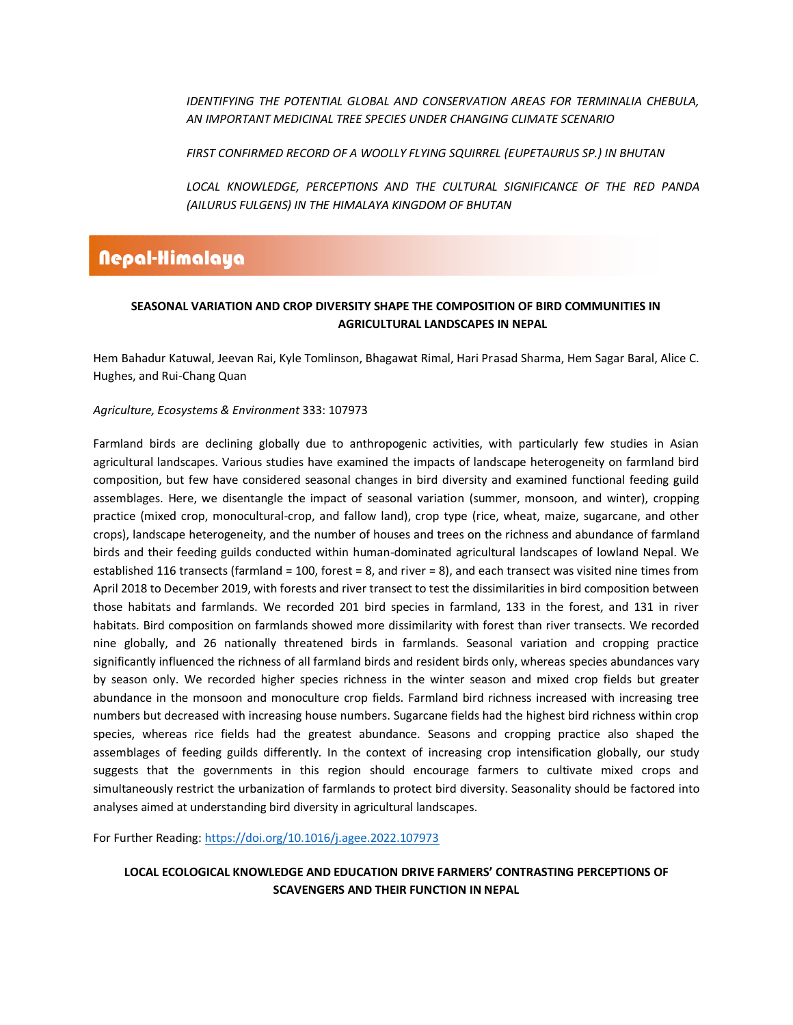*IDENTIFYING THE POTENTIAL GLOBAL AND CONSERVATION AREAS FOR TERMINALIA CHEBULA, AN IMPORTANT MEDICINAL TREE SPECIES UNDER CHANGING CLIMATE SCENARIO*

*FIRST CONFIRMED RECORD OF A WOOLLY FLYING SQUIRREL (EUPETAURUS SP.) IN BHUTAN*

LOCAL KNOWLEDGE, PERCEPTIONS AND THE CULTURAL SIGNIFICANCE OF THE RED PANDA *(AILURUS FULGENS) IN THE HIMALAYA KINGDOM OF BHUTAN* 

# Nepal-Himalaya

### **SEASONAL VARIATION AND CROP DIVERSITY SHAPE THE COMPOSITION OF BIRD COMMUNITIES IN AGRICULTURAL LANDSCAPES IN NEPAL**

Hem Bahadur Katuwal, Jeevan Rai, Kyle Tomlinson, Bhagawat Rimal, Hari Prasad Sharma, Hem Sagar Baral, Alice C. Hughes, and Rui-Chang Quan

#### *Agriculture, Ecosystems & Environment* 333: 107973

Farmland birds are declining globally due to anthropogenic activities, with particularly few studies in Asian agricultural landscapes. Various studies have examined the impacts of landscape heterogeneity on farmland bird composition, but few have considered seasonal changes in bird diversity and examined functional feeding guild assemblages. Here, we disentangle the impact of seasonal variation (summer, monsoon, and winter), cropping practice (mixed crop, monocultural-crop, and fallow land), crop type (rice, wheat, maize, sugarcane, and other crops), landscape heterogeneity, and the number of houses and trees on the richness and abundance of farmland birds and their feeding guilds conducted within human-dominated agricultural landscapes of lowland Nepal. We established 116 transects (farmland = 100, forest = 8, and river = 8), and each transect was visited nine times from April 2018 to December 2019, with forests and river transect to test the dissimilarities in bird composition between those habitats and farmlands. We recorded 201 bird species in farmland, 133 in the forest, and 131 in river habitats. Bird composition on farmlands showed more dissimilarity with forest than river transects. We recorded nine globally, and 26 nationally threatened birds in farmlands. Seasonal variation and cropping practice significantly influenced the richness of all farmland birds and resident birds only, whereas species abundances vary by season only. We recorded higher species richness in the winter season and mixed crop fields but greater abundance in the monsoon and monoculture crop fields. Farmland bird richness increased with increasing tree numbers but decreased with increasing house numbers. Sugarcane fields had the highest bird richness within crop species, whereas rice fields had the greatest abundance. Seasons and cropping practice also shaped the assemblages of feeding guilds differently. In the context of increasing crop intensification globally, our study suggests that the governments in this region should encourage farmers to cultivate mixed crops and simultaneously restrict the urbanization of farmlands to protect bird diversity. Seasonality should be factored into analyses aimed at understanding bird diversity in agricultural landscapes.

For Further Reading:<https://doi.org/10.1016/j.agee.2022.107973>

**LOCAL ECOLOGICAL KNOWLEDGE AND EDUCATION DRIVE FARMERS' CONTRASTING PERCEPTIONS OF SCAVENGERS AND THEIR FUNCTION IN NEPAL**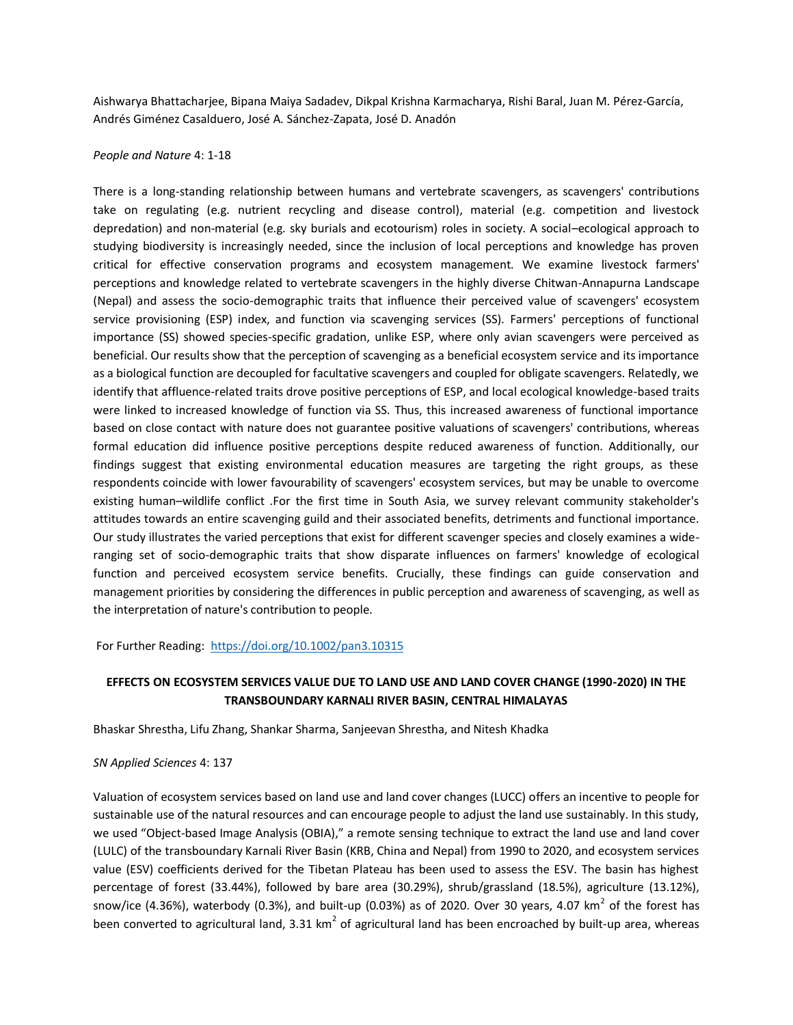Aishwarya Bhattacharjee, Bipana Maiya Sadadev, Dikpal Krishna Karmacharya, Rishi Baral, Juan M[. Pérez-García,](https://besjournals.onlinelibrary.wiley.com/action/doSearch?ContribAuthorRaw=P%C3%A9rez-Garc%C3%ADa%2C+Juan+M) [Andrés Giménez Casalduero,](https://besjournals.onlinelibrary.wiley.com/action/doSearch?ContribAuthorRaw=Gim%C3%A9nez+Casalduero%2C+Andr%C3%A9s) [José A. Sánchez-Zapata,](https://besjournals.onlinelibrary.wiley.com/action/doSearch?ContribAuthorRaw=S%C3%A1nchez-Zapata%2C+Jos%C3%A9+A) [José D. Anadón](https://besjournals.onlinelibrary.wiley.com/action/doSearch?ContribAuthorRaw=Anad%C3%B3n%2C+Jos%C3%A9+D)

#### *People and Nature* 4: 1-18

There is a long-standing relationship between humans and vertebrate scavengers, as scavengers' contributions take on regulating (e.g. nutrient recycling and disease control), material (e.g. competition and livestock depredation) and non-material (e.g. sky burials and ecotourism) roles in society. A social–ecological approach to studying biodiversity is increasingly needed, since the inclusion of local perceptions and knowledge has proven critical for effective conservation programs and ecosystem management. We examine livestock farmers' perceptions and knowledge related to vertebrate scavengers in the highly diverse Chitwan-Annapurna Landscape (Nepal) and assess the socio-demographic traits that influence their perceived value of scavengers' ecosystem service provisioning (ESP) index, and function via scavenging services (SS). Farmers' perceptions of functional importance (SS) showed species-specific gradation, unlike ESP, where only avian scavengers were perceived as beneficial. Our results show that the perception of scavenging as a beneficial ecosystem service and its importance as a biological function are decoupled for facultative scavengers and coupled for obligate scavengers. Relatedly, we identify that affluence-related traits drove positive perceptions of ESP, and local ecological knowledge-based traits were linked to increased knowledge of function via SS. Thus, this increased awareness of functional importance based on close contact with nature does not guarantee positive valuations of scavengers' contributions, whereas formal education did influence positive perceptions despite reduced awareness of function. Additionally, our findings suggest that existing environmental education measures are targeting the right groups, as these respondents coincide with lower favourability of scavengers' ecosystem services, but may be unable to overcome existing human–wildlife conflict .For the first time in South Asia, we survey relevant community stakeholder's attitudes towards an entire scavenging guild and their associated benefits, detriments and functional importance. Our study illustrates the varied perceptions that exist for different scavenger species and closely examines a wideranging set of socio-demographic traits that show disparate influences on farmers' knowledge of ecological function and perceived ecosystem service benefits. Crucially, these findings can guide conservation and management priorities by considering the differences in public perception and awareness of scavenging, as well as the interpretation of nature's contribution to people.

For Further Reading: <https://doi.org/10.1002/pan3.10315>

## **EFFECTS ON ECOSYSTEM SERVICES VALUE DUE TO LAND USE AND LAND COVER CHANGE (1990-2020) IN THE TRANSBOUNDARY KARNALI RIVER BASIN, CENTRAL HIMALAYAS**

Bhaskar Shrestha, Lifu Zhang, Shankar Sharma, Sanjeevan Shrestha, and Nitesh Khadka

#### *SN Applied Sciences* 4: 137

Valuation of ecosystem services based on land use and land cover changes (LUCC) offers an incentive to people for sustainable use of the natural resources and can encourage people to adjust the land use sustainably. In this study, we used "Object-based Image Analysis (OBIA)," a remote sensing technique to extract the land use and land cover (LULC) of the transboundary Karnali River Basin (KRB, China and Nepal) from 1990 to 2020, and ecosystem services value (ESV) coefficients derived for the Tibetan Plateau has been used to assess the ESV. The basin has highest percentage of forest (33.44%), followed by bare area (30.29%), shrub/grassland (18.5%), agriculture (13.12%), snow/ice (4.36%), waterbody (0.3%), and built-up (0.03%) as of 2020. Over 30 years, 4.07 km $^2$  of the forest has been converted to agricultural land, 3.31 km<sup>2</sup> of agricultural land has been encroached by built-up area, whereas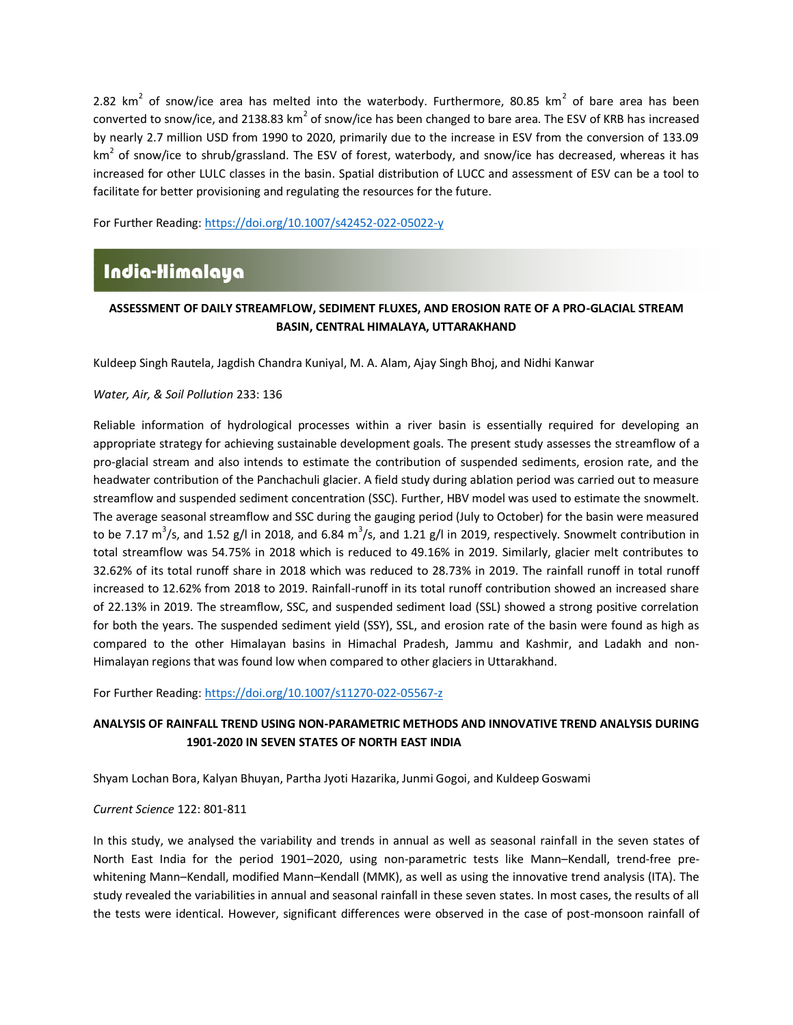2.82 km<sup>2</sup> of snow/ice area has melted into the waterbody. Furthermore, 80.85 km<sup>2</sup> of bare area has been converted to snow/ice, and 2138.83 km<sup>2</sup> of snow/ice has been changed to bare area. The ESV of KRB has increased by nearly 2.7 million USD from 1990 to 2020, primarily due to the increase in ESV from the conversion of 133.09 km<sup>2</sup> of snow/ice to shrub/grassland. The ESV of forest, waterbody, and snow/ice has decreased, whereas it has increased for other LULC classes in the basin. Spatial distribution of LUCC and assessment of ESV can be a tool to facilitate for better provisioning and regulating the resources for the future.

For Further Reading: <https://doi.org/10.1007/s42452-022-05022-y>

# India-Himalaya

# **ASSESSMENT OF DAILY STREAMFLOW, SEDIMENT FLUXES, AND EROSION RATE OF A PRO-GLACIAL STREAM BASIN, CENTRAL HIMALAYA, UTTARAKHAND**

Kuldeep Singh Rautela, Jagdish Chandra Kuniyal, M. A. Alam, Ajay Singh Bhoj, and Nidhi Kanwar

#### *Water, Air, & Soil Pollution* 233: 136

Reliable information of hydrological processes within a river basin is essentially required for developing an appropriate strategy for achieving sustainable development goals. The present study assesses the streamflow of a pro-glacial stream and also intends to estimate the contribution of suspended sediments, erosion rate, and the headwater contribution of the Panchachuli glacier. A field study during ablation period was carried out to measure streamflow and suspended sediment concentration (SSC). Further, HBV model was used to estimate the snowmelt. The average seasonal streamflow and SSC during the gauging period (July to October) for the basin were measured to be 7.17 m<sup>3</sup>/s, and 1.52 g/l in 2018, and 6.84 m<sup>3</sup>/s, and 1.21 g/l in 2019, respectively. Snowmelt contribution in total streamflow was 54.75% in 2018 which is reduced to 49.16% in 2019. Similarly, glacier melt contributes to 32.62% of its total runoff share in 2018 which was reduced to 28.73% in 2019. The rainfall runoff in total runoff increased to 12.62% from 2018 to 2019. Rainfall-runoff in its total runoff contribution showed an increased share of 22.13% in 2019. The streamflow, SSC, and suspended sediment load (SSL) showed a strong positive correlation for both the years. The suspended sediment yield (SSY), SSL, and erosion rate of the basin were found as high as compared to the other Himalayan basins in Himachal Pradesh, Jammu and Kashmir, and Ladakh and non-Himalayan regions that was found low when compared to other glaciers in Uttarakhand.

For Further Reading: <https://doi.org/10.1007/s11270-022-05567-z>

# **ANALYSIS OF RAINFALL TREND USING NON-PARAMETRIC METHODS AND INNOVATIVE TREND ANALYSIS DURING 1901-2020 IN SEVEN STATES OF NORTH EAST INDIA**

Shyam Lochan Bora, Kalyan Bhuyan, Partha Jyoti Hazarika, Junmi Gogoi, and Kuldeep Goswami

#### *Current Science* 122: 801-811

In this study, we analysed the variability and trends in annual as well as seasonal rainfall in the seven states of North East India for the period 1901–2020, using non-parametric tests like Mann–Kendall, trend-free prewhitening Mann–Kendall, modified Mann–Kendall (MMK), as well as using the innovative trend analysis (ITA). The study revealed the variabilities in annual and seasonal rainfall in these seven states. In most cases, the results of all the tests were identical. However, significant differences were observed in the case of post-monsoon rainfall of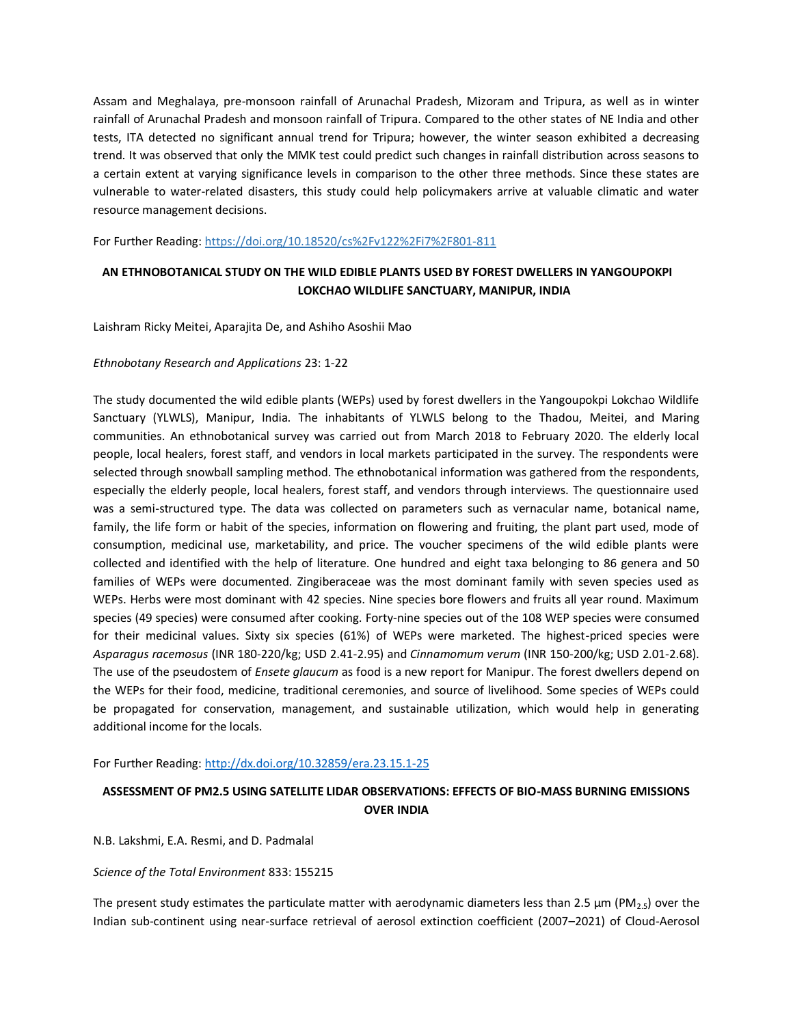Assam and Meghalaya, pre-monsoon rainfall of Arunachal Pradesh, Mizoram and Tripura, as well as in winter rainfall of Arunachal Pradesh and monsoon rainfall of Tripura. Compared to the other states of NE India and other tests, ITA detected no significant annual trend for Tripura; however, the winter season exhibited a decreasing trend. It was observed that only the MMK test could predict such changes in rainfall distribution across seasons to a certain extent at varying significance levels in comparison to the other three methods. Since these states are vulnerable to water-related disasters, this study could help policymakers arrive at valuable climatic and water resource management decisions.

For Further Reading:<https://doi.org/10.18520/cs%2Fv122%2Fi7%2F801-811>

# **AN ETHNOBOTANICAL STUDY ON THE WILD EDIBLE PLANTS USED BY FOREST DWELLERS IN YANGOUPOKPI LOKCHAO WILDLIFE SANCTUARY, MANIPUR, INDIA**

Laishram Ricky Meitei, Aparajita De, and Ashiho Asoshii Mao

#### *Ethnobotany Research and Applications* 23: 1-22

The study documented the wild edible plants (WEPs) used by forest dwellers in the Yangoupokpi Lokchao Wildlife Sanctuary (YLWLS), Manipur, India. The inhabitants of YLWLS belong to the Thadou, Meitei, and Maring communities. An ethnobotanical survey was carried out from March 2018 to February 2020. The elderly local people, local healers, forest staff, and vendors in local markets participated in the survey. The respondents were selected through snowball sampling method. The ethnobotanical information was gathered from the respondents, especially the elderly people, local healers, forest staff, and vendors through interviews. The questionnaire used was a semi-structured type. The data was collected on parameters such as vernacular name, botanical name, family, the life form or habit of the species, information on flowering and fruiting, the plant part used, mode of consumption, medicinal use, marketability, and price. The voucher specimens of the wild edible plants were collected and identified with the help of literature. One hundred and eight taxa belonging to 86 genera and 50 families of WEPs were documented. Zingiberaceae was the most dominant family with seven species used as WEPs. Herbs were most dominant with 42 species. Nine species bore flowers and fruits all year round. Maximum species (49 species) were consumed after cooking. Forty-nine species out of the 108 WEP species were consumed for their medicinal values. Sixty six species (61%) of WEPs were marketed. The highest-priced species were *Asparagus racemosus* (INR 180-220/kg; USD 2.41-2.95) and *Cinnamomum verum* (INR 150-200/kg; USD 2.01-2.68). The use of the pseudostem of *Ensete glaucum* as food is a new report for Manipur. The forest dwellers depend on the WEPs for their food, medicine, traditional ceremonies, and source of livelihood. Some species of WEPs could be propagated for conservation, management, and sustainable utilization, which would help in generating additional income for the locals.

For Further Reading:<http://dx.doi.org/10.32859/era.23.15.1-25>

# **ASSESSMENT OF PM2.5 USING SATELLITE LIDAR OBSERVATIONS: EFFECTS OF BIO-MASS BURNING EMISSIONS OVER INDIA**

N.B. Lakshmi, E.A. Resmi, and D. Padmalal

#### *Science of the Total Environment* 833: 155215

The present study estimates the particulate matter with aerodynamic diameters less than 2.5  $\mu$ m (PM<sub>2.5</sub>) over the Indian sub-continent using near-surface retrieval of aerosol extinction coefficient (2007–2021) of Cloud-Aerosol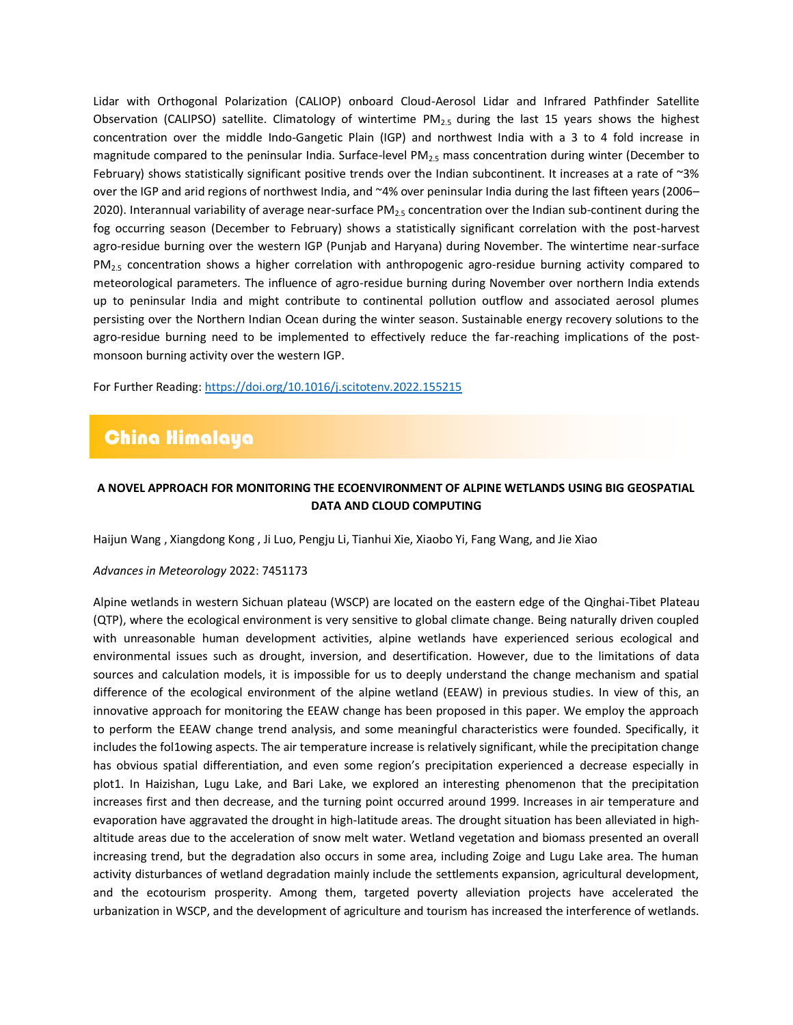Lidar with Orthogonal Polarization (CALIOP) onboard Cloud-Aerosol Lidar and Infrared Pathfinder Satellite Observation (CALIPSO) satellite. Climatology of wintertime  $PM<sub>2.5</sub>$  during the last 15 years shows the highest concentration over the middle Indo-Gangetic Plain (IGP) and northwest India with a 3 to 4 fold increase in magnitude compared to the peninsular India. Surface-level PM<sub>2.5</sub> mass concentration during winter (December to February) shows statistically significant positive trends over the Indian subcontinent. It increases at a rate of ~3% over the IGP and arid regions of northwest India, and ~4% over peninsular India during the last fifteen years (2006– 2020). Interannual variability of average near-surface  $PM_{2.5}$  concentration over the Indian sub-continent during the fog occurring season (December to February) shows a statistically significant correlation with the post-harvest agro-residue burning over the western IGP (Punjab and Haryana) during November. The wintertime near-surface  $PM_{2.5}$  concentration shows a higher correlation with anthropogenic agro-residue burning activity compared to meteorological parameters. The influence of agro-residue burning during November over northern India extends up to peninsular India and might contribute to continental pollution outflow and associated aerosol plumes persisting over the Northern Indian Ocean during the winter season. Sustainable energy recovery solutions to the agro-residue burning need to be implemented to effectively reduce the far-reaching implications of the postmonsoon burning activity over the western IGP.

For Further Reading:<https://doi.org/10.1016/j.scitotenv.2022.155215>

# China Himalaya

# **A NOVEL APPROACH FOR MONITORING THE ECOENVIRONMENT OF ALPINE WETLANDS USING BIG GEOSPATIAL DATA AND CLOUD COMPUTING**

Haijun Wang , Xiangdong Kong , Ji Luo, Pengju Li, Tianhui Xie, Xiaobo Yi, Fang Wang, and Jie Xiao

#### *Advances in Meteorology* 2022: 7451173

Alpine wetlands in western Sichuan plateau (WSCP) are located on the eastern edge of the Qinghai-Tibet Plateau (QTP), where the ecological environment is very sensitive to global climate change. Being naturally driven coupled with unreasonable human development activities, alpine wetlands have experienced serious ecological and environmental issues such as drought, inversion, and desertification. However, due to the limitations of data sources and calculation models, it is impossible for us to deeply understand the change mechanism and spatial difference of the ecological environment of the alpine wetland (EEAW) in previous studies. In view of this, an innovative approach for monitoring the EEAW change has been proposed in this paper. We employ the approach to perform the EEAW change trend analysis, and some meaningful characteristics were founded. Specifically, it includes the fol1owing aspects. The air temperature increase is relatively significant, while the precipitation change has obvious spatial differentiation, and even some region's precipitation experienced a decrease especially in plot1. In Haizishan, Lugu Lake, and Bari Lake, we explored an interesting phenomenon that the precipitation increases first and then decrease, and the turning point occurred around 1999. Increases in air temperature and evaporation have aggravated the drought in high-latitude areas. The drought situation has been alleviated in highaltitude areas due to the acceleration of snow melt water. Wetland vegetation and biomass presented an overall increasing trend, but the degradation also occurs in some area, including Zoige and Lugu Lake area. The human activity disturbances of wetland degradation mainly include the settlements expansion, agricultural development, and the ecotourism prosperity. Among them, targeted poverty alleviation projects have accelerated the urbanization in WSCP, and the development of agriculture and tourism has increased the interference of wetlands.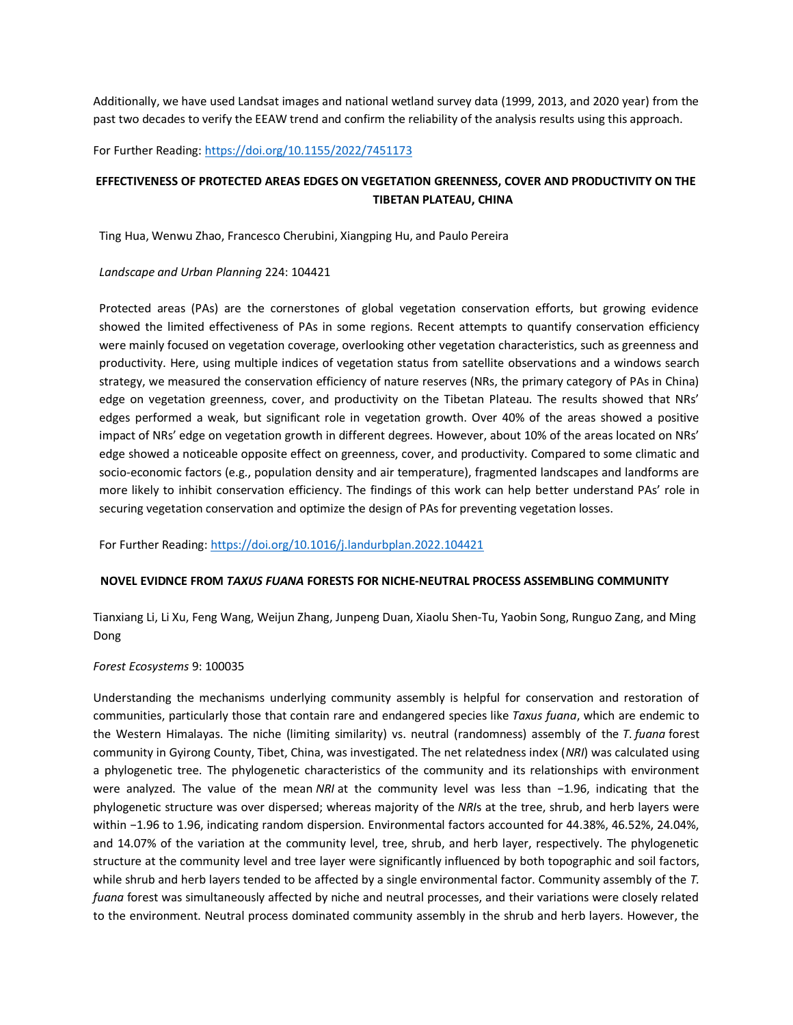Additionally, we have used Landsat images and national wetland survey data (1999, 2013, and 2020 year) from the past two decades to verify the EEAW trend and confirm the reliability of the analysis results using this approach.

For Further Reading:<https://doi.org/10.1155/2022/7451173>

# **EFFECTIVENESS OF PROTECTED AREAS EDGES ON VEGETATION GREENNESS, COVER AND PRODUCTIVITY ON THE TIBETAN PLATEAU, CHINA**

Ting [Hua, Wenwu](https://www.sciencedirect.com/science/article/abs/pii/S0169204622000706#!) Zhao[, Francesco](https://www.sciencedirect.com/science/article/abs/pii/S0169204622000706#!) Cherubini[, Xiangping](https://www.sciencedirect.com/science/article/abs/pii/S0169204622000706#!) Hu, and Paulo [Pereira](https://www.sciencedirect.com/science/article/abs/pii/S0169204622000706#!)

#### *Landscape and Urban Planning* 224: 104421

Protected areas (PAs) are the cornerstones of global vegetation conservation efforts, but growing evidence showed the limited effectiveness of PAs in some regions. Recent attempts to quantify conservation efficiency were mainly focused on vegetation coverage, overlooking other vegetation characteristics, such as greenness and productivity. Here, using multiple indices of vegetation status from satellite observations and a windows search strategy, we measured the conservation efficiency of nature reserves (NRs, the primary category of PAs in China) edge on vegetation greenness, cover, and productivity on the Tibetan Plateau. The results showed that NRs' edges performed a weak, but significant role in vegetation growth. Over 40% of the areas showed a positive impact of NRs' edge on vegetation growth in different degrees. However, about 10% of the areas located on NRs' edge showed a noticeable opposite effect on greenness, cover, and productivity. Compared to some climatic and socio-economic factors (e.g., population density and air temperature), fragmented landscapes and landforms are more likely to inhibit conservation efficiency. The findings of this work can help better understand PAs' role in securing vegetation conservation and optimize the design of PAs for preventing vegetation losses.

For Further Reading[: https://doi.org/10.1016/j.landurbplan.2022.104421](https://doi.org/10.1016/j.landurbplan.2022.104421)

#### **NOVEL EVIDNCE FROM** *TAXUS FUANA* **FORESTS FOR NICHE-NEUTRAL PROCESS ASSEMBLING COMMUNITY**

[Tianxiang](https://www.sciencedirect.com/science/article/pii/S2197562022000355#!) Li, Li [Xu,](https://www.sciencedirect.com/science/article/pii/S2197562022000355#!) Feng [Wang, Weijun](https://www.sciencedirect.com/science/article/pii/S2197562022000355#!) Zhang[, Junpeng](https://www.sciencedirect.com/science/article/pii/S2197562022000355#!) Duan, Xiaolu [Shen-Tu, Yaobin](https://www.sciencedirect.com/science/article/pii/S2197562022000355#!) Song[, Runguo](https://www.sciencedirect.com/science/article/pii/S2197562022000355#!) Zang, an[d Ming](https://www.sciencedirect.com/science/article/pii/S2197562022000355#!) [Dong](https://www.sciencedirect.com/science/article/pii/S2197562022000355#!)

#### *Forest Ecosystems* 9: 100035

Understanding the mechanisms underlying community assembly is helpful for conservation and restoration of communities, particularly those that contain rare and endangered species like *Taxus fuana*, which are endemic to the Western Himalayas. The niche (limiting similarity) vs. neutral (randomness) assembly of the *T*. *fuana* forest community in Gyirong County, Tibet, China, was investigated. The net relatedness index (*NRI*) was calculated using a phylogenetic tree. The phylogenetic characteristics of the community and its relationships with environment were analyzed. The value of the mean *NRI* at the community level was less than −1.96, indicating that the phylogenetic structure was over dispersed; whereas majority of the *NRI*s at the tree, shrub, and herb layers were within −1.96 to 1.96, indicating random dispersion. Environmental factors accounted for 44.38%, 46.52%, 24.04%, and 14.07% of the variation at the community level, tree, shrub, and herb layer, respectively. The phylogenetic structure at the community level and tree layer were significantly influenced by both topographic and soil factors, while shrub and herb layers tended to be affected by a single environmental factor. Community assembly of the *T. fuana* forest was simultaneously affected by niche and neutral processes, and their variations were closely related to the environment. Neutral process dominated community assembly in the shrub and herb layers. However, the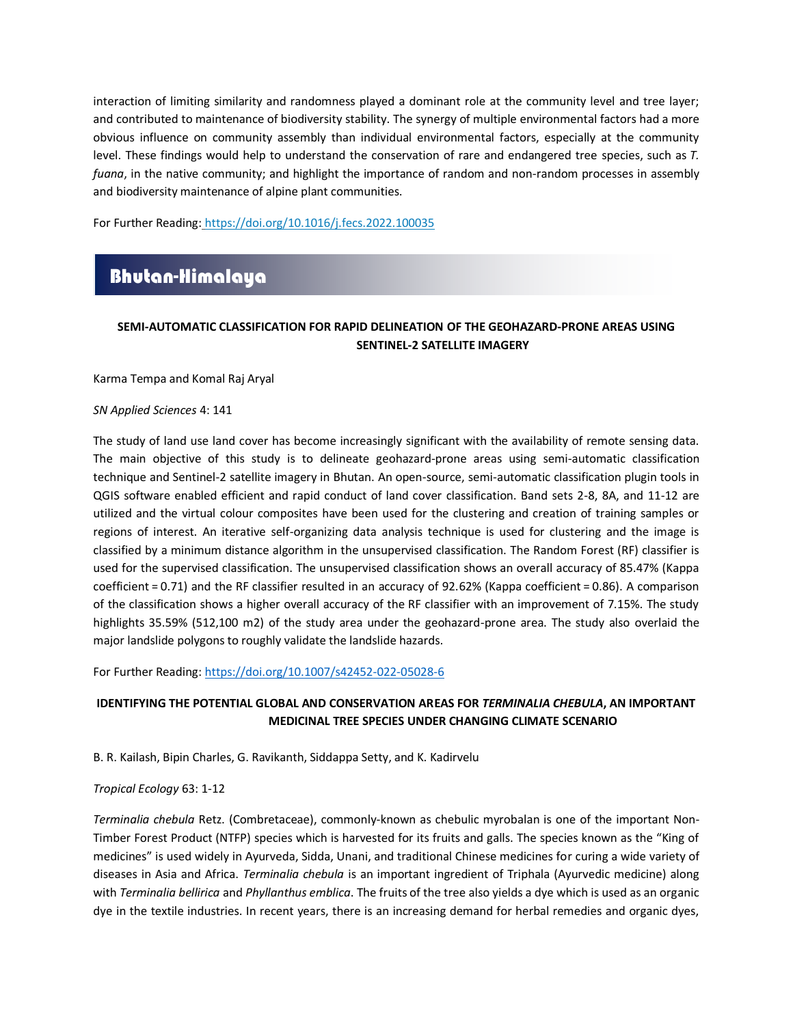interaction of limiting similarity and randomness played a dominant role at the community level and tree layer; and contributed to maintenance of biodiversity stability. The synergy of multiple environmental factors had a more obvious influence on community assembly than individual environmental factors, especially at the community level. These findings would help to understand the conservation of rare and endangered tree species, such as *T. fuana*, in the native community; and highlight the importance of random and non-random processes in assembly and biodiversity maintenance of alpine plant communities.

For Further Reading: <https://doi.org/10.1016/j.fecs.2022.100035>

# Bhutan-Himalaya

# **SEMI-AUTOMATIC CLASSIFICATION FOR RAPID DELINEATION OF THE GEOHAZARD-PRONE AREAS USING**  malaya**SENTINEL-2 SATELLITE IMAGERY**

Karma Tempa and Komal Raj Aryal

#### *SN Applied Sciences* 4: 141

The study of land use land cover has become increasingly significant with the availability of remote sensing data. The main objective of this study is to delineate geohazard-prone areas using semi-automatic classification technique and Sentinel-2 satellite imagery in Bhutan. An open-source, semi-automatic classification plugin tools in QGIS software enabled efficient and rapid conduct of land cover classification. Band sets 2-8, 8A, and 11-12 are utilized and the virtual colour composites have been used for the clustering and creation of training samples or regions of interest. An iterative self-organizing data analysis technique is used for clustering and the image is classified by a minimum distance algorithm in the unsupervised classification. The Random Forest (RF) classifier is used for the supervised classification. The unsupervised classification shows an overall accuracy of 85.47% (Kappa coefficient = 0.71) and the RF classifier resulted in an accuracy of 92.62% (Kappa coefficient = 0.86). A comparison of the classification shows a higher overall accuracy of the RF classifier with an improvement of 7.15%. The study highlights 35.59% (512,100 m2) of the study area under the geohazard-prone area. The study also overlaid the major landslide polygons to roughly validate the landslide hazards.

For Further Reading: <https://doi.org/10.1007/s42452-022-05028-6>

### **IDENTIFYING THE POTENTIAL GLOBAL AND CONSERVATION AREAS FOR** *TERMINALIA CHEBULA***, AN IMPORTANT MEDICINAL TREE SPECIES UNDER CHANGING CLIMATE SCENARIO**

B. R. Kailash, Bipin Charles, G. Ravikanth, Siddappa Setty, and K. Kadirvelu

#### *Tropical Ecology* 63: 1-12

*Terminalia chebula* Retz. (Combretaceae), commonly-known as chebulic myrobalan is one of the important Non-Timber Forest Product (NTFP) species which is harvested for its fruits and galls. The species known as the "King of medicines" is used widely in Ayurveda, Sidda, Unani, and traditional Chinese medicines for curing a wide variety of diseases in Asia and Africa. *Terminalia chebula* is an important ingredient of Triphala (Ayurvedic medicine) along with *Terminalia bellirica* and *Phyllanthus emblica*. The fruits of the tree also yields a dye which is used as an organic dye in the textile industries. In recent years, there is an increasing demand for herbal remedies and organic dyes,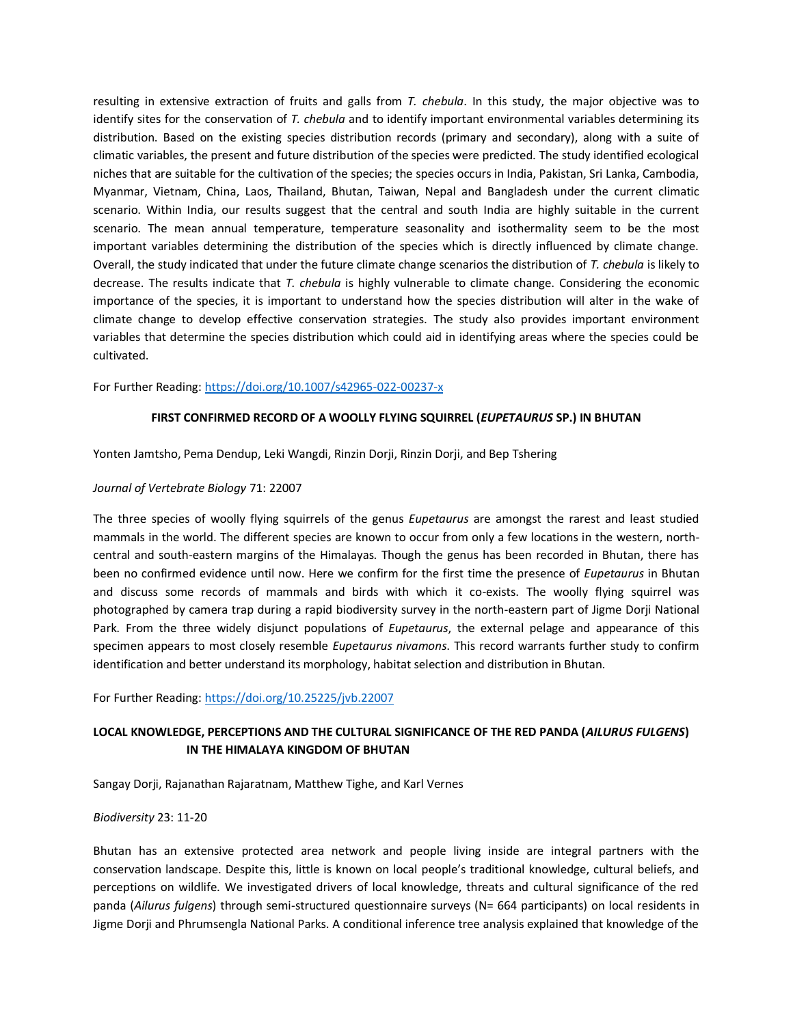resulting in extensive extraction of fruits and galls from *T. chebula*. In this study, the major objective was to identify sites for the conservation of *T. chebula* and to identify important environmental variables determining its distribution. Based on the existing species distribution records (primary and secondary), along with a suite of climatic variables, the present and future distribution of the species were predicted. The study identified ecological niches that are suitable for the cultivation of the species; the species occurs in India, Pakistan, Sri Lanka, Cambodia, Myanmar, Vietnam, China, Laos, Thailand, Bhutan, Taiwan, Nepal and Bangladesh under the current climatic scenario. Within India, our results suggest that the central and south India are highly suitable in the current scenario. The mean annual temperature, temperature seasonality and isothermality seem to be the most important variables determining the distribution of the species which is directly influenced by climate change. Overall, the study indicated that under the future climate change scenarios the distribution of *T. chebula* is likely to decrease. The results indicate that *T. chebula* is highly vulnerable to climate change. Considering the economic importance of the species, it is important to understand how the species distribution will alter in the wake of climate change to develop effective conservation strategies. The study also provides important environment variables that determine the species distribution which could aid in identifying areas where the species could be cultivated.

For Further Reading: <https://doi.org/10.1007/s42965-022-00237-x>

#### **FIRST CONFIRMED RECORD OF A WOOLLY FLYING SQUIRREL (***EUPETAURUS* **SP.) IN BHUTAN**

Yonten Jamtsho, Pema Dendup, Leki Wangdi, Rinzin Dorji, Rinzin Dorji, and Bep Tshering

#### *[Journal of Vertebrate Biology](https://bioone.org/journals/journal-of-vertebrate-biology/volume-71/issue-22007)* 71: 22007

The three species of woolly flying squirrels of the genus *Eupetaurus* are amongst the rarest and least studied mammals in the world. The different species are known to occur from only a few locations in the western, northcentral and south-eastern margins of the Himalayas. Though the genus has been recorded in Bhutan, there has been no confirmed evidence until now. Here we confirm for the first time the presence of *Eupetaurus* in Bhutan and discuss some records of mammals and birds with which it co-exists. The woolly flying squirrel was photographed by camera trap during a rapid biodiversity survey in the north-eastern part of Jigme Dorji National Park. From the three widely disjunct populations of *Eupetaurus*, the external pelage and appearance of this specimen appears to most closely resemble *Eupetaurus nivamons*. This record warrants further study to confirm identification and better understand its morphology, habitat selection and distribution in Bhutan.

For Further Reading:<https://doi.org/10.25225/jvb.22007>

## **LOCAL KNOWLEDGE, PERCEPTIONS AND THE CULTURAL SIGNIFICANCE OF THE RED PANDA (***AILURUS FULGENS***) IN THE HIMALAYA KINGDOM OF BHUTAN**

Sangay Dorji, Rajanathan Rajaratnam, Matthew Tighe, and Karl Vernes

#### *Biodiversity* 23: 11-20

Bhutan has an extensive protected area network and people living inside are integral partners with the conservation landscape. Despite this, little is known on local people's traditional knowledge, cultural beliefs, and perceptions on wildlife. We investigated drivers of local knowledge, threats and cultural significance of the red panda (*Ailurus fulgens*) through semi-structured questionnaire surveys (N= 664 participants) on local residents in Jigme Dorji and Phrumsengla National Parks. A conditional inference tree analysis explained that knowledge of the